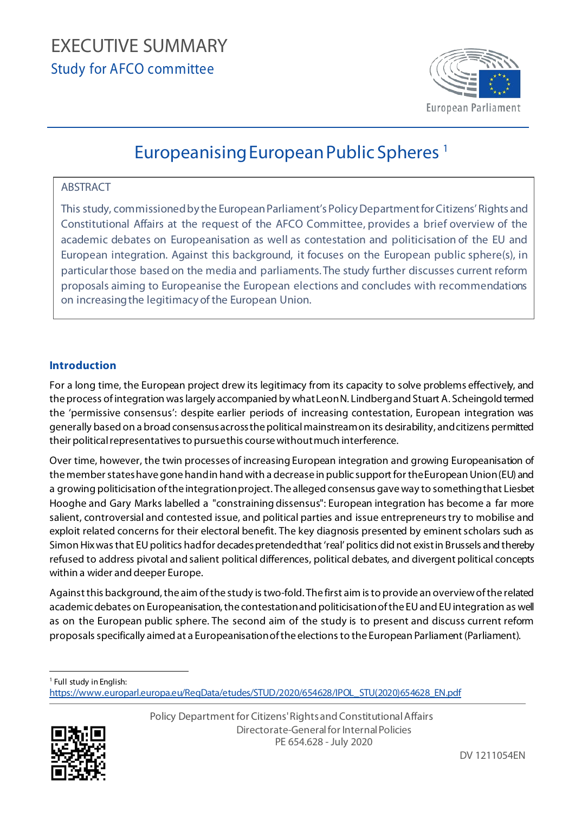# EXECUTIVE EXECUTIVE SUMMARY Study for AFCO committee



## Europeanising European Public Spheres [1](#page-0-0)

## ABSTRACT

This study, commissioned by the European Parliament's Policy Department for Citizens' Rights and Constitutional Affairs at the request of the AFCO Committee, provides a brief overview of the academic debates on Europeanisation as well as contestation and politicisation of the EU and European integration. Against this background, it focuses on the European public sphere(s), in particular those based on the media and parliaments. The study further discusses current reform proposals aiming to Europeanise the European elections and concludes with recommendations on increasing the legitimacy of the European Union.

## **Introduction**

For a long time, the European project drew its legitimacy from its capacity to solve problems effectively, and the process of integration was largely accompanied by what Leon N. Lindberg and Stuart A. Scheingold termed the 'permissive consensus': despite earlier periods of increasing contestation, European integration was generally based on a broad consensus across the political mainstream on its desirability, and citizens permitted their political representatives to pursue this course without much interference.

Over time, however, the twin processes of increasing European integration and growing Europeanisation of the member states have gone hand in hand with a decrease in public support for the European Union (EU) and a growing politicisation of the integration project. The alleged consensus gave way to something that Liesbet Hooghe and Gary Marks labelled a "constraining dissensus": European integration has become a far more salient, controversial and contested issue, and political parties and issue entrepreneurs try to mobilise and exploit related concerns for their electoral benefit. The key diagnosis presented by eminent scholars such as Simon Hix was that EUpolitics hadfor decades pretended that 'real' politics did not exist in Brussels and thereby refused to address pivotal and salient political differences, political debates, and divergent political concepts within a wider and deeper Europe.

Against this background, the aim of the study is two-fold. The first aim is to provide an overview of the related academic debates on Europeanisation, the contestation and politicisation of the EU and EU integration as well as on the European public sphere. The second aim of the study is to present and discuss current reform proposals specifically aimed at a Europeanisation of the elections to the European Parliament (Parliament).

<span id="page-0-0"></span><sup>1</sup> Full study in English:

[https://www.europarl.europa.eu/RegData/etudes/STUD/2020/654628/IPOL\\_STU\(2020\)654628\\_EN.pdf](https://www.europarl.europa.eu/RegData/etudes/STUD/2020/654628/IPOL_STU(2020)654628_EN.pdf)



Policy Department for Citizens' Rights and Constitutional Affairs Directorate-General for Internal Policies PE 654.628 - July 2020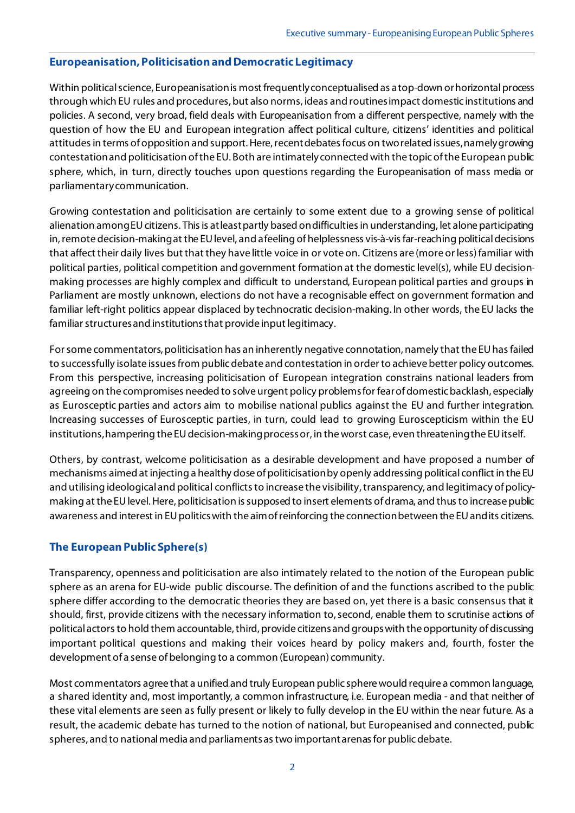#### **Europeanisation, Politicisation and Democratic Legitimacy**

Within political science, Europeanisation is most frequently conceptualised as a top-down or horizontal process through which EU rules and procedures, but also norms, ideas and routines impact domestic institutions and policies. A second, very broad, field deals with Europeanisation from a different perspective, namely with the question of how the EU and European integration affect political culture, citizens' identities and political attitudes in terms of opposition and support. Here, recent debates focus on two related issues, namely growing contestation and politicisation of the EU. Both are intimately connected with the topic of the European public sphere, which, in turn, directly touches upon questions regarding the Europeanisation of mass media or parliamentary communication.

Growing contestation and politicisation are certainly to some extent due to a growing sense of political alienation among EU citizens. This is at least partly based on difficulties in understanding, let alone participating in, remote decision-making at the EU level, and a feeling of helplessness vis-à-vis far-reaching political decisions that affect their daily lives but that they have little voice in or vote on. Citizens are (more or less) familiar with political parties, political competition and government formation at the domestic level(s), while EU decisionmaking processes are highly complex and difficult to understand, European political parties and groups in Parliament are mostly unknown, elections do not have a recognisable effect on government formation and familiar left-right politics appear displaced by technocratic decision-making. In other words, the EU lacks the familiar structures and institutions that provide input legitimacy.

For some commentators, politicisation has an inherently negative connotation, namely that the EU has failed to successfully isolate issues from public debate and contestation in order to achieve better policy outcomes. From this perspective, increasing politicisation of European integration constrains national leaders from agreeing on the compromises needed to solve urgent policy problemsfor fear of domestic backlash, especially as Eurosceptic parties and actors aim to mobilise national publics against the EU and further integration. Increasing successes of Eurosceptic parties, in turn, could lead to growing Euroscepticism within the EU institutions, hampering the EU decision-making process or, in the worst case, even threatening the EU itself.

Others, by contrast, welcome politicisation as a desirable development and have proposed a number of mechanisms aimed at injecting a healthy dose of politicisation by openly addressing political conflict in the EU and utilising ideological and political conflictsto increase the visibility, transparency, and legitimacy of policymaking at the EU level. Here, politicisation is supposed to insert elements of drama, and thus to increase public awareness and interest in EU politics with the aim of reinforcing the connection between the EU and its citizens.

#### **The European Public Sphere(s)**

Transparency, openness and politicisation are also intimately related to the notion of the European public sphere as an arena for EU-wide public discourse. The definition of and the functions ascribed to the public sphere differ according to the democratic theories they are based on, yet there is a basic consensus that it should, first, provide citizens with the necessary information to, second, enable them to scrutinise actions of political actors to hold them accountable, third, provide citizens and groups with the opportunity of discussing important political questions and making their voices heard by policy makers and, fourth, foster the development of a sense of belonging to a common (European) community.

Most commentators agree that a unified and truly European public sphere would require a common language, a shared identity and, most importantly, a common infrastructure, i.e. European media - and that neither of these vital elements are seen as fully present or likely to fully develop in the EU within the near future. As a result, the academic debate has turned to the notion of national, but Europeanised and connected, public spheres, and to national media and parliaments as two important arenas for public debate.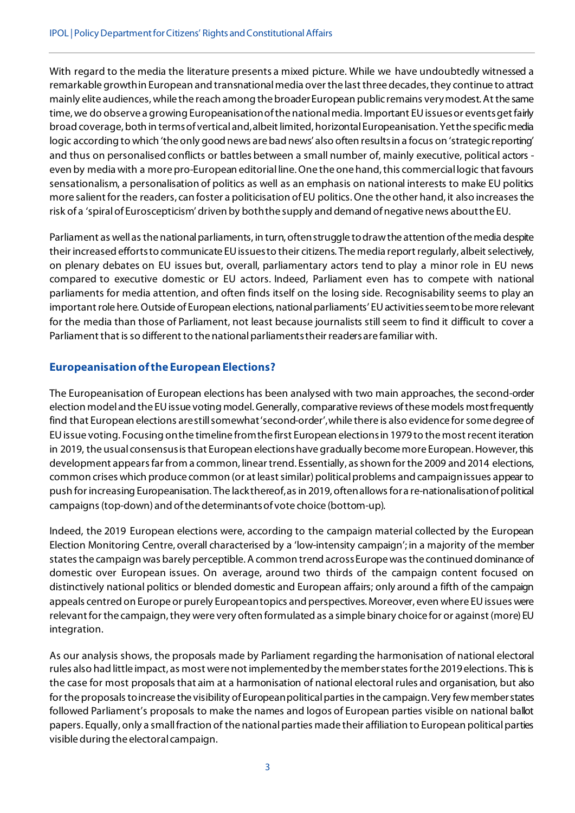With regard to the media the literature presents a mixed picture. While we have undoubtedly witnessed a remarkable growth in European and transnational media over the last three decades, they continue to attract mainly elite audiences, while the reach among the broader European public remains very modest. At the same time, we do observe a growing Europeanisation of the national media. Important EU issues or events get fairly broad coverage, both in terms of vertical and, albeit limited, horizontal Europeanisation. Yetthe specific media logic according to which 'the only good news are bad news' also often results in a focus on 'strategic reporting' and thus on personalised conflicts or battles between a small number of, mainly executive, political actors even by media with a more pro-European editorial line. One the one hand, this commercial logic that favours sensationalism, a personalisation of politics as well as an emphasis on national interests to make EU politics more salient for the readers, can foster a politicisation of EU politics. One the other hand, it also increases the risk of a 'spiral of Euroscepticism' driven by both the supply and demand of negative news about the EU.

Parliament as well as the national parliaments, in turn, often struggle to draw the attention of the media despite their increased efforts to communicate EU issues to their citizens. The media report regularly, albeit selectively, on plenary debates on EU issues but, overall, parliamentary actors tend to play a minor role in EU news compared to executive domestic or EU actors. Indeed, Parliament even has to compete with national parliaments for media attention, and often finds itself on the losing side. Recognisability seems to play an important role here. Outside of European elections, national parliaments' EU activities seem to be more relevant for the media than those of Parliament, not least because journalists still seem to find it difficult to cover a Parliament that is so different to the national parliaments their readers are familiar with.

## **Europeanisation of the European Elections?**

The Europeanisation of European elections has been analysed with two main approaches, the second-order election model and the EU issue voting model. Generally, comparative reviews of these models most frequently find that European elections are still somewhat 'second-order', while there is also evidence for some degree of EU issue voting. Focusing on the timeline from the first European elections in 1979 to the most recent iteration in 2019, the usual consensus is that European elections have gradually become more European. However, this development appears far from a common, linear trend. Essentially, as shown for the 2009 and 2014 elections, common crises which produce common (or at least similar) political problems and campaign issues appear to push for increasing Europeanisation. The lack thereof, as in 2019, often allows for a re-nationalisation of political campaigns (top-down) and of the determinants of vote choice (bottom-up).

Indeed, the 2019 European elections were, according to the campaign material collected by the European Election Monitoring Centre, overall characterised by a 'low-intensity campaign'; in a majority of the member states the campaign was barely perceptible. A common trend across Europe was the continued dominance of domestic over European issues. On average, around two thirds of the campaign content focused on distinctively national politics or blended domestic and European affairs; only around a fifth of the campaign appeals centred on Europe or purely European topics and perspectives. Moreover, even where EU issues were relevant for the campaign, they were very often formulated as a simple binary choice for or against (more) EU integration.

As our analysis shows, the proposals made by Parliament regarding the harmonisation of national electoral rules also had little impact, as most were not implemented by the member states for the 2019 elections. This is the case for most proposals that aim at a harmonisation of national electoral rules and organisation, but also for the proposals to increase the visibility of European political parties in the campaign. Very few member states followed Parliament's proposals to make the names and logos of European parties visible on national ballot papers. Equally, only a small fraction of the national parties made their affiliation to European political parties visible during the electoral campaign.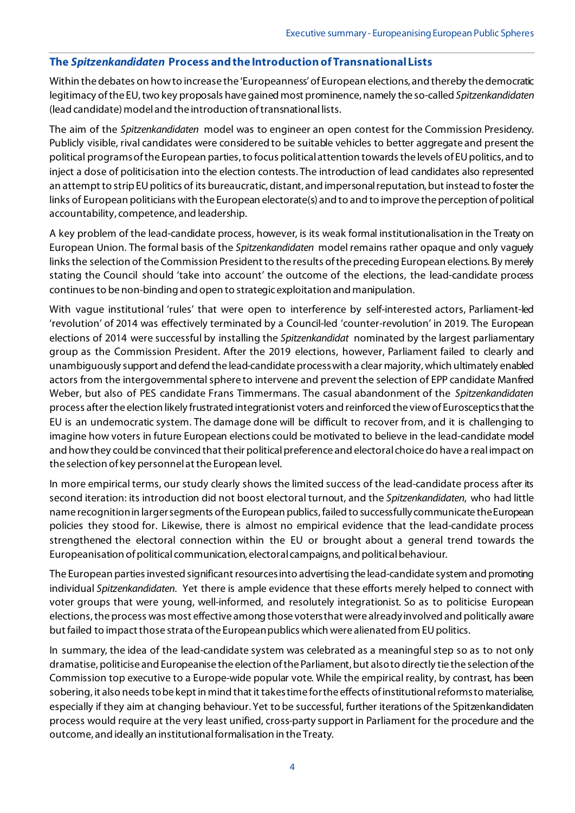#### **The** *Spitzenkandidaten* **Process and the Introduction of Transnational Lists**

Within the debates on how to increase the 'Europeanness' of European elections, and thereby the democratic legitimacy of the EU, two key proposals have gained most prominence, namely the so-called *Spitzenkandidaten* (lead candidate) model and the introduction of transnational lists.

The aim of the *Spitzenkandidaten* model was to engineer an open contest for the Commission Presidency. Publicly visible, rival candidates were considered to be suitable vehicles to better aggregate and present the political programs of the European parties, to focus political attention towards the levels of EUpolitics, and to inject a dose of politicisation into the election contests. The introduction of lead candidates also represented an attempt to strip EUpolitics of its bureaucratic, distant, and impersonal reputation, but instead to foster the links of European politicians with the European electorate(s) and to and to improve the perception of political accountability, competence, and leadership.

A key problem of the lead-candidate process, however, is its weak formal institutionalisation in the Treaty on European Union. The formal basis of the *Spitzenkandidaten* model remains rather opaque and only vaguely linksthe selection of the Commission President to the results of the preceding European elections. By merely stating the Council should 'take into account' the outcome of the elections, the lead-candidate process continues to be non-binding and open to strategic exploitation and manipulation.

With vague institutional 'rules' that were open to interference by self-interested actors, Parliament-led 'revolution' of 2014 was effectively terminated by a Council-led 'counter-revolution' in 2019. The European elections of 2014 were successful by installing the *Spitzenkandidat* nominated by the largest parliamentary group as the Commission President. After the 2019 elections, however, Parliament failed to clearly and unambiguously support and defend the lead-candidate processwith a clear majority, which ultimately enabled actors from the intergovernmental sphere to intervene and prevent the selection of EPP candidate Manfred Weber, but also of PES candidate Frans Timmermans. The casual abandonment of the *Spitzenkandidaten* process after the election likely frustrated integrationist voters and reinforced the view of Eurosceptics that the EU is an undemocratic system. The damage done will be difficult to recover from, and it is challenging to imagine how voters in future European elections could be motivated to believe in the lead-candidate model and how they could be convinced that their political preference and electoral choice do have a real impact on the selection of key personnel at the European level.

In more empirical terms, our study clearly shows the limited success of the lead-candidate process after its second iteration: its introduction did not boost electoral turnout, and the *Spitzenkandidaten*, who had little name recognition in larger segments of the European publics, failed to successfully communicate the European policies they stood for. Likewise, there is almost no empirical evidence that the lead-candidate process strengthened the electoral connection within the EU or brought about a general trend towards the Europeanisation of political communication, electoral campaigns, and political behaviour.

The European parties invested significant resources into advertising the lead-candidate system and promoting individual *Spitzenkandidaten*. Yet there is ample evidence that these efforts merely helped to connect with voter groups that were young, well-informed, and resolutely integrationist. So as to politicise European elections,the process was most effective among those votersthat were alreadyinvolved and politically aware but failed to impact those strata of the European publics which were alienated from EU politics.

In summary, the idea of the lead-candidate system was celebrated as a meaningful step so as to not only dramatise, politicise and Europeanise the election of the Parliament, but alsoto directly tie the selection of the Commission top executive to a Europe-wide popular vote. While the empirical reality, by contrast, has been sobering, it also needs to be kept in mind that it takes time for the effects of institutional reforms to materialise, especially if they aim at changing behaviour. Yet to be successful, further iterations of the Spitzenkandidaten process would require at the very least unified, cross-party support in Parliament for the procedure and the outcome, and ideally an institutional formalisation in the Treaty.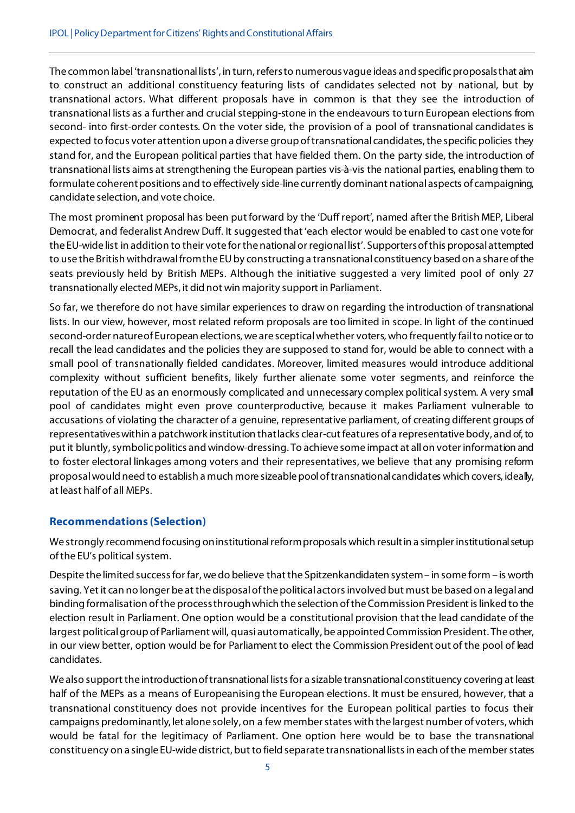The common label 'transnational lists', in turn,refers to numerous vague ideas and specific proposals that aim to construct an additional constituency featuring lists of candidates selected not by national, but by transnational actors. What different proposals have in common is that they see the introduction of transnational lists as a further and crucial stepping-stone in the endeavours to turn European elections from second- into first-order contests. On the voter side, the provision of a pool of transnational candidates is expected to focus voter attention upon a diverse group of transnational candidates, the specific policies they stand for, and the European political parties that have fielded them. On the party side, the introduction of transnational lists aims at strengthening the European parties vis-à-vis the national parties, enabling them to formulate coherent positions and to effectively side-line currently dominant national aspects of campaigning, candidate selection, and vote choice.

The most prominent proposal has been put forward by the 'Duff report', named after the British MEP, Liberal Democrat, and federalist Andrew Duff. It suggested that 'each elector would be enabled to cast one vote for the EU-wide list in addition to their vote for the national or regional list'. Supporters of this proposal attempted to use the British withdrawal from the EUby constructing a transnational constituency based on a share of the seats previously held by British MEPs. Although the initiative suggested a very limited pool of only 27 transnationally elected MEPs, it did not win majority support in Parliament.

So far, we therefore do not have similar experiences to draw on regarding the introduction of transnational lists. In our view, however, most related reform proposals are too limited in scope. In light of the continued second-order nature of European elections, we are sceptical whether voters, who frequently fail to notice or to recall the lead candidates and the policies they are supposed to stand for, would be able to connect with a small pool of transnationally fielded candidates. Moreover, limited measures would introduce additional complexity without sufficient benefits, likely further alienate some voter segments, and reinforce the reputation of the EU as an enormously complicated and unnecessary complex political system. A very small pool of candidates might even prove counterproductive, because it makes Parliament vulnerable to accusations of violating the character of a genuine, representative parliament, of creating different groups of representatives within a patchwork institution that lacks clear-cut features of a representative body, and of, to put it bluntly, symbolic politics and window-dressing. To achieve some impact at all on voter information and to foster electoral linkages among voters and their representatives, we believe that any promising reform proposal would need to establish a much more sizeable pool of transnational candidates which covers, ideally, at least half of all MEPs.

#### **Recommendations (Selection)**

We strongly recommend focusing on institutional reform proposals which result in a simpler institutional setup of the EU's political system.

Despite the limited success for far, we do believe that the Spitzenkandidaten system – in some form – is worth saving. Yet it can no longer be at the disposal of the political actors involved but must be based on a legal and binding formalisation of the process through which the selection of the Commission President is linked to the election result in Parliament. One option would be a constitutional provision that the lead candidate of the largest politicalgroup of Parliament will, quasi automatically, be appointed Commission President. The other, in our view better, option would be for Parliament to elect the Commission President out of the pool of lead candidates.

We also support the introduction of transnational lists for a sizable transnational constituency covering at least half of the MEPs as a means of Europeanising the European elections. It must be ensured, however, that a transnational constituency does not provide incentives for the European political parties to focus their campaigns predominantly, let alone solely, on a few member states with the largest number of voters, which would be fatal for the legitimacy of Parliament. One option here would be to base the transnational constituency on a single EU-wide district, but to field separate transnational lists in each of the member states